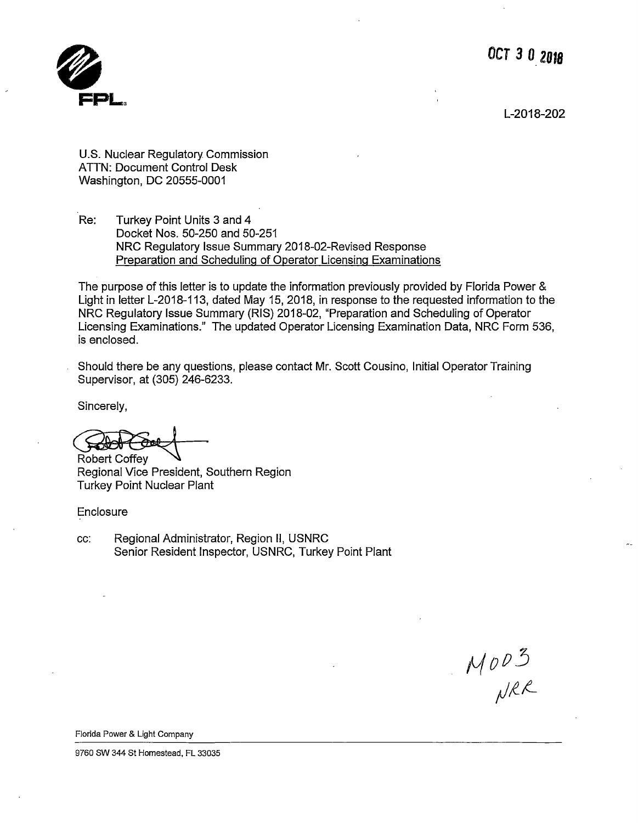**OCT** *3* **O\_ ZOJ8** 



L-2018-202

U.S. Nuclear Regulatory Commission ATTN: Document Control Desk Washington, DC 20555-0001

Re: Turkey Point Units 3 and 4 Docket Nos. 50-250 and 50-251 NRC Regulatory Issue Summary 2018-02-Revised Response Preparation and Scheduling of Operator Licensing Examinations

The purpose of this letter is to update the information previously provided by Florida Power & Light in letter L-2018-113, dated May 15, 2018, in response to the requested information to the NRC Regulatory Issue Summary (RIS) 2018-02, "Preparation and Scheduling of Operator Licensing Examinations." The updated Operator Licensing Examination Data, NRC Form 536, is enclosed.

Should there be any questions, please contact Mr. Scott Cousino, Initial Operator Training Supervisor, at (305) 246-6233.

Sincerely,

Robert Coffey<br>Regional Vice President, Southern Region Turkey Point Nuclear Plant

Enclosure

cc: Regional Administrator, Region II, USNRC Senior Resident Inspector, USNRC, Turkey Point Plant

 $M0D3$ <br>NRR

Florida Power & Light Company